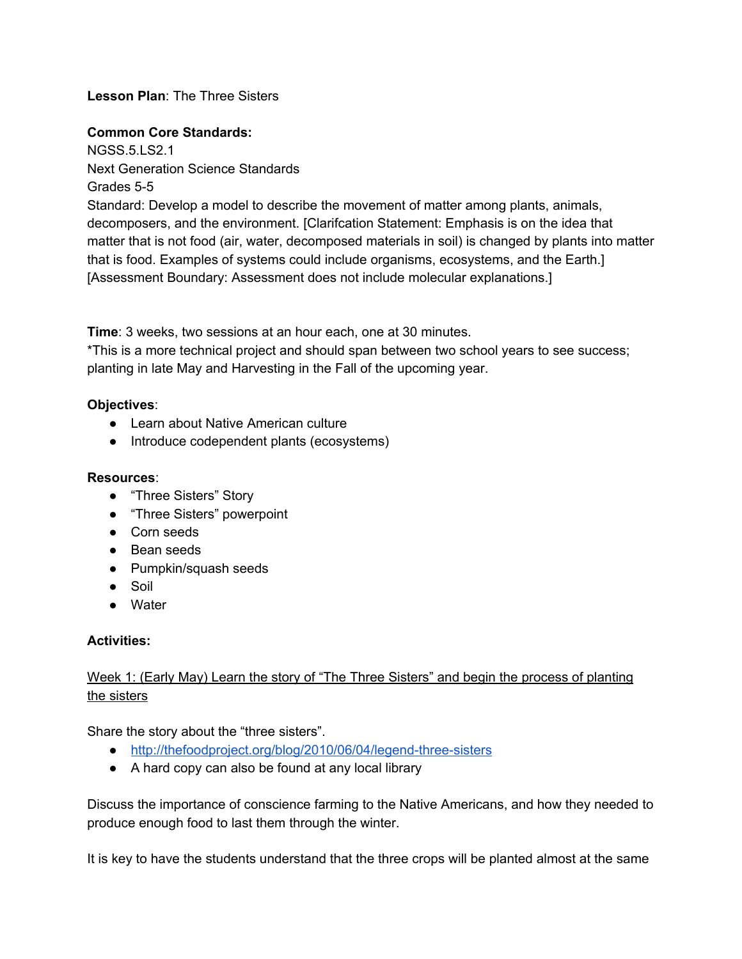## **Lesson Plan**: The Three Sisters

#### **Common Core Standards:**

NGSS.5.LS2.1 Next Generation Science Standards Grades 5-5 Standard: Develop a model to describe the movement of matter among plants, animals, decomposers, and the environment. [Clarifcation Statement: Emphasis is on the idea that matter that is not food (air, water, decomposed materials in soil) is changed by plants into matter that is food. Examples of systems could include organisms, ecosystems, and the Earth.] [Assessment Boundary: Assessment does not include molecular explanations.]

**Time**: 3 weeks, two sessions at an hour each, one at 30 minutes.

\*This is a more technical project and should span between two school years to see success; planting in late May and Harvesting in the Fall of the upcoming year.

## **Objectives**:

- Learn about Native American culture
- Introduce codependent plants (ecosystems)

## **Resources**:

- "Three Sisters" Story
- "Three Sisters" powerpoint
- Corn seeds
- Bean seeds
- Pumpkin/squash seeds
- Soil
- Water

# **Activities:**

# Week 1: (Early May) Learn the story of "The Three Sisters" and begin the process of planting the sisters

Share the story about the "three sisters".

- http://thefoodproject.org/blog/2010/06/04/legend-three-sisters
- A hard copy can also be found at any local library

Discuss the importance of conscience farming to the Native Americans, and how they needed to produce enough food to last them through the winter.

It is key to have the students understand that the three crops will be planted almost at the same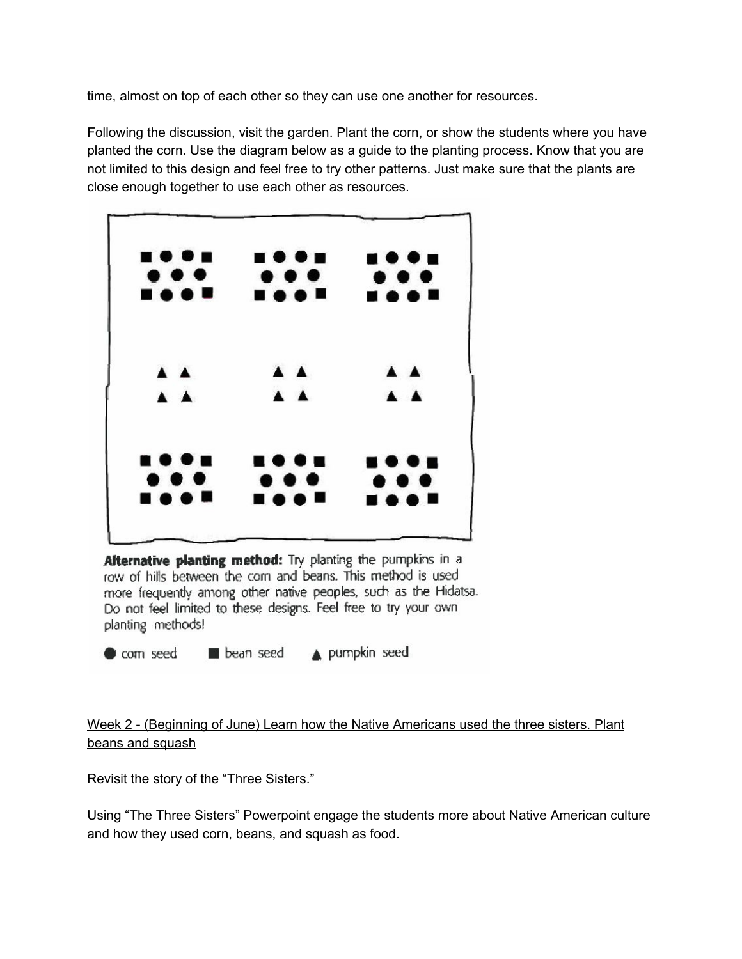time, almost on top of each other so they can use one another for resources.

Following the discussion, visit the garden. Plant the corn, or show the students where you have planted the corn. Use the diagram below as a guide to the planting process. Know that you are not limited to this design and feel free to try other patterns. Just make sure that the plants are close enough together to use each other as resources.

| <b></b><br>$\bullet\bullet\bullet$ | .<br>$\bullet\bullet\bullet$           | <b>.</b><br>$\bullet\bullet\bullet$    |
|------------------------------------|----------------------------------------|----------------------------------------|
| <b></b>                            | <b>BOOT</b>                            | <b>.</b>                               |
| $\triangle$ $\triangle$            | A A                                    | A A                                    |
| A A                                | A A                                    | $\triangle$ $\triangle$                |
| <b></b>                            | .                                      |                                        |
| $\bullet\bullet\bullet$<br>        | $\bullet\bullet\bullet$<br><b>HOOM</b> | $\bullet\bullet\bullet$<br><b>HOON</b> |

Alternative planting method: Try planting the pumpkins in a row of hills between the com and beans. This method is used more frequently among other native peoples, such as the Hidatsa. Do not feel limited to these designs. Feel free to try your own planting methods!

bean seed A pumpkin seed com seed

# Week 2 - (Beginning of June) Learn how the Native Americans used the three sisters. Plant beans and squash

Revisit the story of the "Three Sisters."

Using "The Three Sisters" Powerpoint engage the students more about Native American culture and how they used corn, beans, and squash as food.